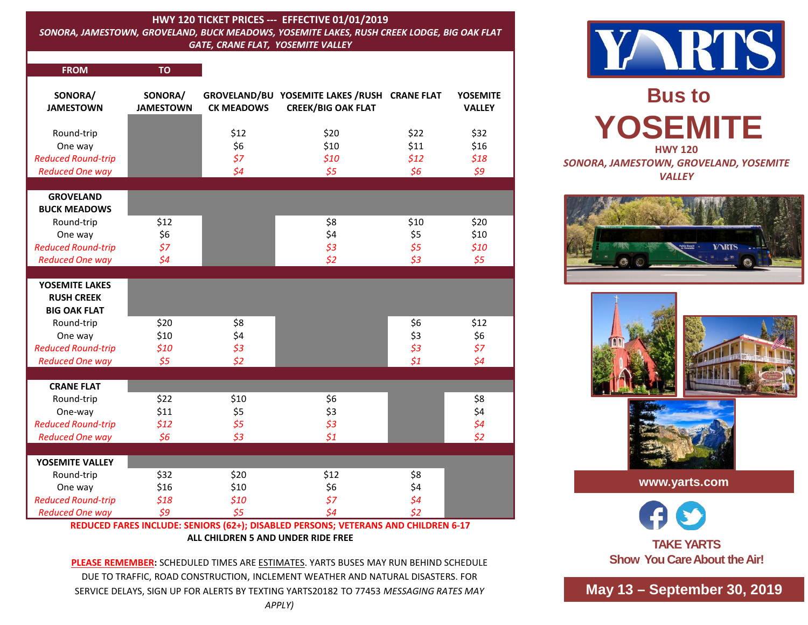## **HWY 120 TICKET PRICES --- EFFECTIVE 01/01/2019**

*SONORA, JAMESTOWN, GROVELAND, BUCK MEADOWS, YOSEMITE LAKES, RUSH CREEK LODGE, BIG OAK FLAT GATE, CRANE FLAT, YOSEMITE VALLEY* 

| <b>FROM</b>                                                                  | <b>TO</b>                        |                                 |                                                                           |                             |                                  |
|------------------------------------------------------------------------------|----------------------------------|---------------------------------|---------------------------------------------------------------------------|-----------------------------|----------------------------------|
| SONORA/<br><b>JAMESTOWN</b>                                                  | SONORA/<br><b>JAMESTOWN</b>      | <b>CK MEADOWS</b>               | GROVELAND/BU YOSEMITE LAKES /RUSH CRANE FLAT<br><b>CREEK/BIG OAK FLAT</b> |                             | <b>YOSEMITE</b><br><b>VALLEY</b> |
| Round-trip<br>One way<br><b>Reduced Round-trip</b><br><b>Reduced One way</b> |                                  | \$12<br>\$6<br>\$7<br>$\zeta$ 4 | \$20<br>\$10<br>\$10<br>\$5                                               | \$22<br>\$11<br>\$12<br>\$6 | \$32<br>\$16<br>\$18<br>59       |
| <b>GROVELAND</b><br><b>BUCK MEADOWS</b>                                      |                                  |                                 |                                                                           |                             |                                  |
| Round-trip<br>One way<br><b>Reduced Round-trip</b><br><b>Reduced One way</b> | \$12<br>\$6<br>57<br>$\sqrt{54}$ |                                 | \$8<br>\$4<br>\$3<br>\$2                                                  | \$10<br>\$5<br>\$5<br>\$3   | \$20<br>\$10<br>\$10<br>\$5      |
|                                                                              |                                  |                                 |                                                                           |                             |                                  |
| YOSEMITE LAKES<br><b>RUSH CREEK</b><br><b>BIG OAK FLAT</b>                   |                                  |                                 |                                                                           |                             |                                  |
| Round-trip                                                                   | \$20                             | \$8                             |                                                                           | \$6                         | \$12                             |
| One way<br><b>Reduced Round-trip</b>                                         | \$10<br>\$10                     | \$4<br>\$3                      |                                                                           | \$3<br>\$3                  | \$6<br>\$7                       |
| <b>Reduced One way</b>                                                       | \$5                              | \$2                             |                                                                           | $\zeta_1$                   | $\overline{\mathsf{S}}4$         |
| <b>CRANE FLAT</b>                                                            |                                  |                                 |                                                                           |                             |                                  |
| Round-trip                                                                   | \$22                             | \$10                            | \$6                                                                       |                             | \$8                              |
| One-way                                                                      | \$11                             | \$5                             | \$3                                                                       |                             | \$4                              |
| <b>Reduced Round-trip</b>                                                    | \$12                             | \$5                             | \$3                                                                       |                             | $\frac{1}{2}$                    |
| <b>Reduced One way</b>                                                       | \$6                              | \$3                             | 51                                                                        |                             | \$2                              |
|                                                                              |                                  |                                 |                                                                           |                             |                                  |
| YOSEMITE VALLEY                                                              | \$32                             | \$20                            |                                                                           | \$8                         |                                  |
| Round-trip<br>One way                                                        | \$16                             | \$10                            | \$12<br>\$6                                                               | \$4                         |                                  |
| <b>Reduced Round-trip</b>                                                    | \$18                             | \$10                            | \$7                                                                       | $\zeta$ 4                   |                                  |
| <b>Reduced One way</b>                                                       | 59                               | \$5                             | $\zeta$ 4                                                                 | $\overline{52}$             |                                  |

## **REDUCED FARES INCLUDE: SENIORS (62+); DISABLED PERSONS; VETERANS AND CHILDREN 6-17 ALL CHILDREN 5 AND UNDER RIDE FREE**

**PLEASE REMEMBER:** SCHEDULED TIMES ARE ESTIMATES. YARTS BUSES MAY RUN BEHIND SCHEDULE DUE TO TRAFFIC, ROAD CONSTRUCTION, INCLEMENT WEATHER AND NATURAL DISASTERS. FOR SERVICE DELAYS, SIGN UP FOR ALERTS BY TEXTING YARTS20182 TO 77453 *MESSAGING RATES MAY* 



**Bus to YOSEMITE HWY 120** *SONORA, JAMESTOWN, GROVELAND, YOSEMITE* 

*VALLEY*





**www.yarts.com**

**TAKE YARTS Show You Care About the Air!**

**May 13 – September 30, 2019**